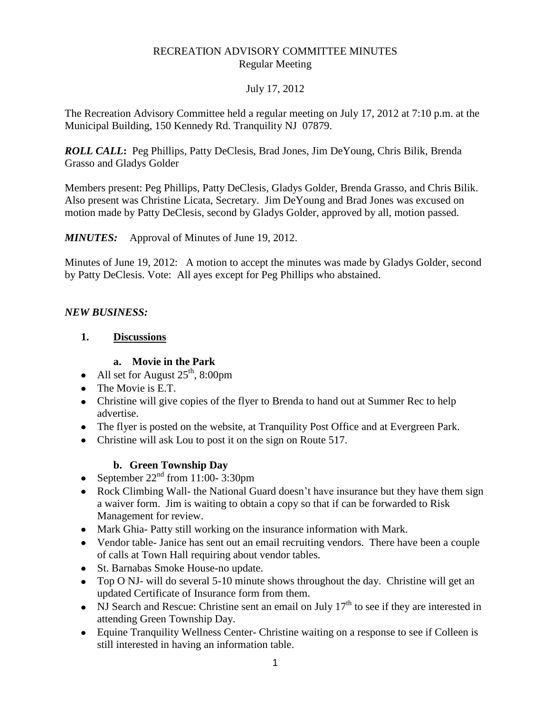#### RECREATION ADVISORY COMMITTEE MINUTES Regular Meeting

## July 17, 2012

The Recreation Advisory Committee held a regular meeting on July 17, 2012 at 7:10 p.m. at the Municipal Building, 150 Kennedy Rd. Tranquility NJ 07879.

*ROLL CALL***:** Peg Phillips, Patty DeClesis, Brad Jones, Jim DeYoung, Chris Bilik, Brenda Grasso and Gladys Golder

Members present: Peg Phillips, Patty DeClesis, Gladys Golder, Brenda Grasso, and Chris Bilik. Also present was Christine Licata, Secretary. Jim DeYoung and Brad Jones was excused on motion made by Patty DeClesis, second by Gladys Golder, approved by all, motion passed.

*MINUTES:* Approval of Minutes of June 19, 2012.

Minutes of June 19, 2012: A motion to accept the minutes was made by Gladys Golder, second by Patty DeClesis. Vote: All ayes except for Peg Phillips who abstained.

## *NEW BUSINESS:*

#### **1. Discussions**

#### **a. Movie in the Park**

- All set for August  $25^{\text{th}}$ , 8:00pm
- The Movie is E.T.
- Christine will give copies of the flyer to Brenda to hand out at Summer Rec to help advertise.
- The flyer is posted on the website, at Tranquility Post Office and at Evergreen Park.
- Christine will ask Lou to post it on the sign on Route 517.

## **b. Green Township Day**

- September  $22<sup>nd</sup>$  from 11:00-3:30pm
- Rock Climbing Wall- the National Guard doesn't have insurance but they have them sign a waiver form. Jim is waiting to obtain a copy so that if can be forwarded to Risk Management for review.
- Mark Ghia- Patty still working on the insurance information with Mark.
- Vendor table- Janice has sent out an email recruiting vendors. There have been a couple of calls at Town Hall requiring about vendor tables.
- St. Barnabas Smoke House-no update.
- Top O NJ- will do several 5-10 minute shows throughout the day. Christine will get an updated Certificate of Insurance form from them.
- NJ Search and Rescue: Christine sent an email on July  $17<sup>th</sup>$  to see if they are interested in attending Green Township Day.
- Equine Tranquility Wellness Center- Christine waiting on a response to see if Colleen is still interested in having an information table.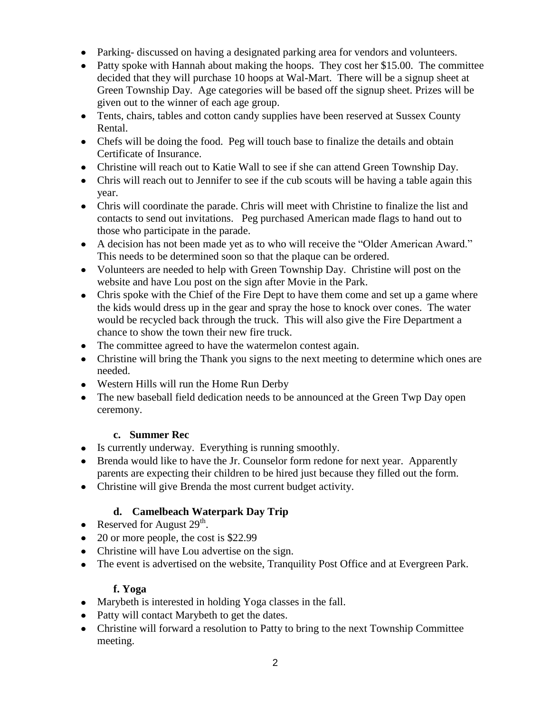- Parking- discussed on having a designated parking area for vendors and volunteers.
- Patty spoke with Hannah about making the hoops. They cost her \$15.00. The committee decided that they will purchase 10 hoops at Wal-Mart. There will be a signup sheet at Green Township Day. Age categories will be based off the signup sheet. Prizes will be given out to the winner of each age group.
- Tents, chairs, tables and cotton candy supplies have been reserved at Sussex County Rental.
- Chefs will be doing the food. Peg will touch base to finalize the details and obtain Certificate of Insurance.
- Christine will reach out to Katie Wall to see if she can attend Green Township Day.
- Chris will reach out to Jennifer to see if the cub scouts will be having a table again this year.
- Chris will coordinate the parade. Chris will meet with Christine to finalize the list and contacts to send out invitations. Peg purchased American made flags to hand out to those who participate in the parade.
- A decision has not been made yet as to who will receive the "Older American Award." This needs to be determined soon so that the plaque can be ordered.
- Volunteers are needed to help with Green Township Day. Christine will post on the website and have Lou post on the sign after Movie in the Park.
- Chris spoke with the Chief of the Fire Dept to have them come and set up a game where the kids would dress up in the gear and spray the hose to knock over cones. The water would be recycled back through the truck. This will also give the Fire Department a chance to show the town their new fire truck.
- The committee agreed to have the watermelon contest again.
- Christine will bring the Thank you signs to the next meeting to determine which ones are needed.
- Western Hills will run the Home Run Derby
- The new baseball field dedication needs to be announced at the Green Twp Day open ceremony.

## **c. Summer Rec**

- Is currently underway. Everything is running smoothly.
- Brenda would like to have the Jr. Counselor form redone for next year. Apparently parents are expecting their children to be hired just because they filled out the form.
- Christine will give Brenda the most current budget activity.

# **d. Camelbeach Waterpark Day Trip**

- Reserved for August  $29<sup>th</sup>$ .
- 20 or more people, the cost is \$22.99
- Christine will have Lou advertise on the sign.
- The event is advertised on the website, Tranquility Post Office and at Evergreen Park.

# **f. Yoga**

- Marybeth is interested in holding Yoga classes in the fall.
- Patty will contact Marybeth to get the dates.
- Christine will forward a resolution to Patty to bring to the next Township Committee meeting.